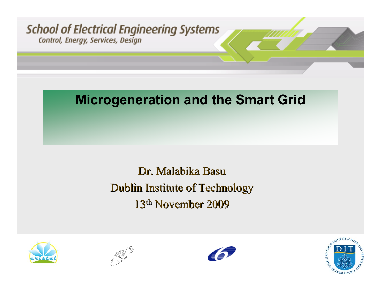

### **Microgeneration and the Smart Grid**

## Dr. Malabika Basu Dublin Institute of Technology 13<sup>th</sup> November 2009







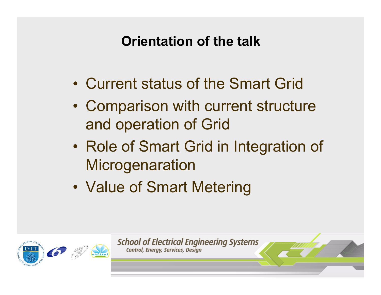# **Orientation of the talk**

- Current status of the Smart Grid
- $\bullet$  Comparison with current structure and operation of Grid
- $\bullet$  Role of Smart Grid in Integration of **Microgenaration**
- $\bullet$ Value of Smart Metering



**School of Electrical Engineering Systems** Control, Energy, Services, Design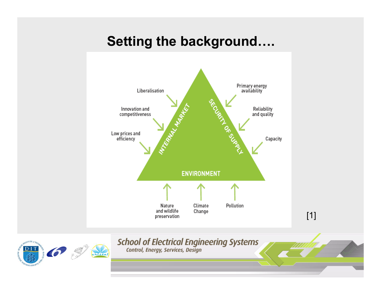### **Setting the background….**





**School of Electrical Engineering Systems**<br>
Control, Energy, Services, Design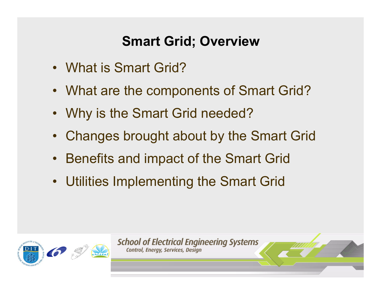## **Smart Grid; Overview**

- What is Smart Grid?
- What are the components of Smart Grid?
- Why is the Smart Grid needed?
- Changes brought about by the Smart Grid
- Benefits and impact of the Smart Grid
- Utilities Implementing the Smart Grid



**School of Electrical Engineering Systems** Control, Energy, Services, Design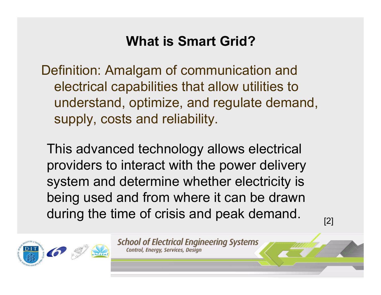## **What is Smart Grid?**

Definition: Amalgam of communication and electrical capabilities that allow utilities to understand, optimize, and regulate demand, supply, costs and reliability.

This advanced technology allows electrical providers to interact with the power delivery system and determine whether electricity is being used and from where it can be drawn during the time of crisis and peak demand.  $\frac{1}{2}$ 

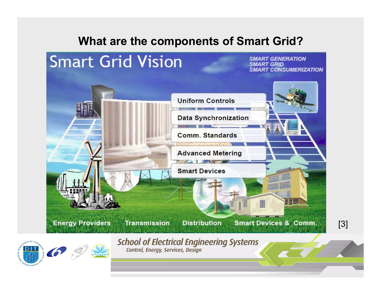#### **What are the components of Smart Grid?**

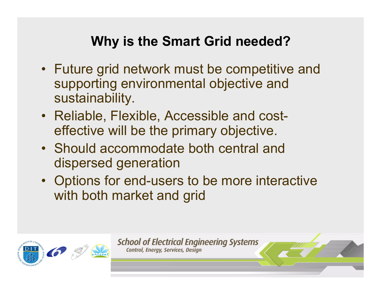## **Why is the Smart Grid needed?**

- Future grid network must be competitive and supporting environmental objective and sustainability.
- Reliable, Flexible, Accessible and costeffective will be the primary objective.
- Should accommodate both central and dispersed generation
- Options for end-users to be more interactive with both market and grid



**School of Electrical Engineering Systems** Control, Energy, Services, Design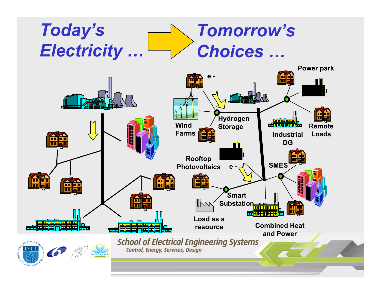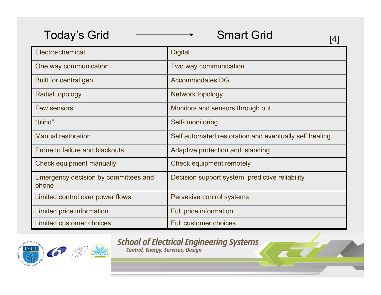| <b>Today's Grid</b>                           | <b>Smart Grid</b><br>14                                |
|-----------------------------------------------|--------------------------------------------------------|
| Electro-chemical                              | <b>Digital</b>                                         |
| One way communication                         | Two way communication                                  |
| Built for central gen                         | <b>Accommodates DG</b>                                 |
| <b>Radial topology</b>                        | Network topology                                       |
| <b>Few sensors</b>                            | Monitors and sensors through out                       |
| "blind"                                       | Self- monitoring                                       |
| <b>Manual restoration</b>                     | Self automated restoration and eventually self healing |
| Prone to failure and blackouts                | Adaptive protection and islanding                      |
| Check equipment manually                      | Check equipment remotely                               |
| Emergency decision by committees and<br>phone | Decision support system, predictive reliability        |
| Limited control over power flows              | Pervasive control systems                              |
| Limited price information                     | <b>Full price information</b>                          |
| Limited customer choices                      | <b>Full customer choices</b>                           |



**School of Electrical Engineering Systems**<br>
Control, Energy, Services, Design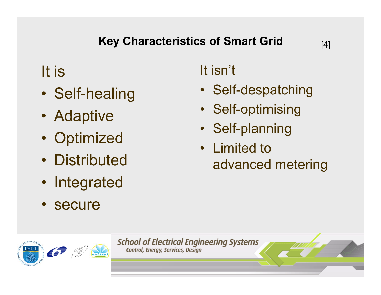### **Key Characteristics of Smart Grid**

# It is

- •Self-healing
- Adaptive
- $\bullet$ **Optimized**
- Distributed
- Integrated
- secure

# It isn't

- Self-despatching
- Self-optimising
- Self-planning
- Limited to advanced metering

**School of Electrical Engineering Systems** Control, Energy, Services, Design

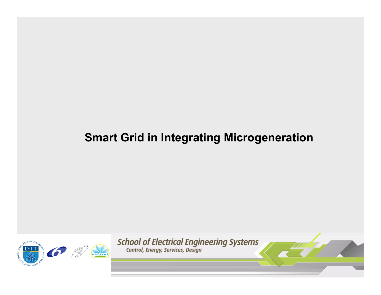### **Smart Grid in Integrating Microgeneration**



**School of Electrical Engineering Systems**<br>
Control, Energy, Services, Design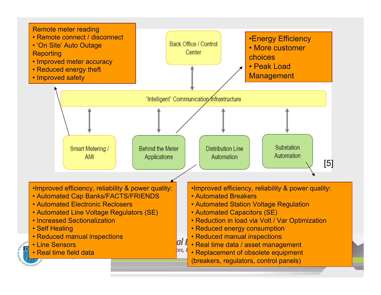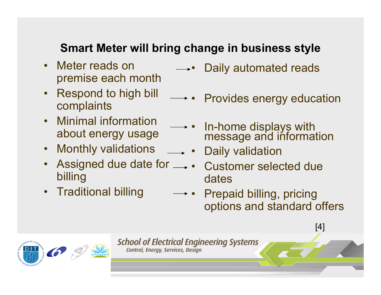### **Smart Meter will bring change in business style**

- Meter reads on premise each month
- Respond to high bill complaints
- Minimal information about energy usage
- Monthly validations
- Assigned due date for billing
- Traditional billing
- •Daily automated reads
- •Provides energy education
- In-home displays with message and information
- Daily validation
- Customer selected due dates
- • Prepaid billing, pricing options and standard offers



**School of Electrical Engineering Systems** Control, Energy, Services, Design

13 May 2008

[4]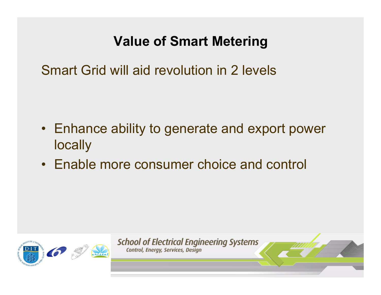## **Value of Smart Metering**

Smart Grid will aid revolution in 2 levels

- Enhance ability to generate and export power locally
- Enable more consumer choice and control



**School of Electrical Engineering Systems** Control, Energy, Services, Design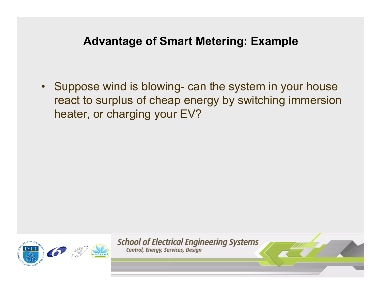#### **Advantage of Smart Metering: Example**

 $\bullet$  Suppose wind is blowing- can the system in your house react to surplus of cheap energy by switching immersion heater, or charging your EV?



**School of Electrical Engineering Systems** Control, Energy, Services, Design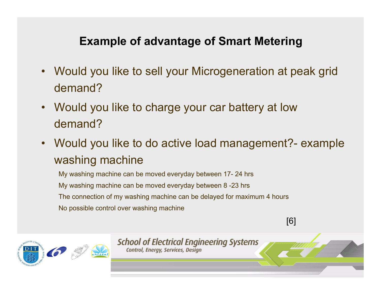### **Example of advantage of Smart Metering**

- • Would you like to sell your Microgeneration at peak grid demand?
- • Would you like to charge your car battery at low demand?
- • Would you like to do active load management?- example washing machine

My washing machine can be moved everyday between 17- 24 hrs My washing machine can be moved everyday between 8 -23 hrs The connection of my washing machine can be delayed for maximum 4 hours No possible control over washing machine

[6]



**School of Electrical Engineering Systems** Control, Energy, Services, Design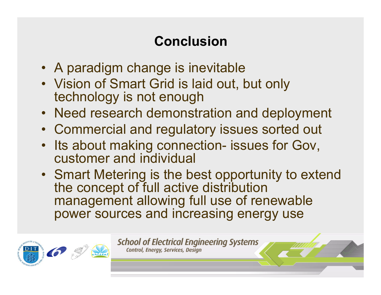# **Conclusion**

- A paradigm change is inevitable
- Vision of Smart Grid is laid out, but only technology is not enough
- Need research demonstration and deployment
- Commercial and regulatory issues sorted out
- •Its about making connection- issues for Gov, customer and individual
- Smart Metering is the best opportunity to extend the concept of full active distribution management allowing full use of renewable power sources and increasing energy use



**School of Electrical Engineering Systems** Control, Energy, Services, Design